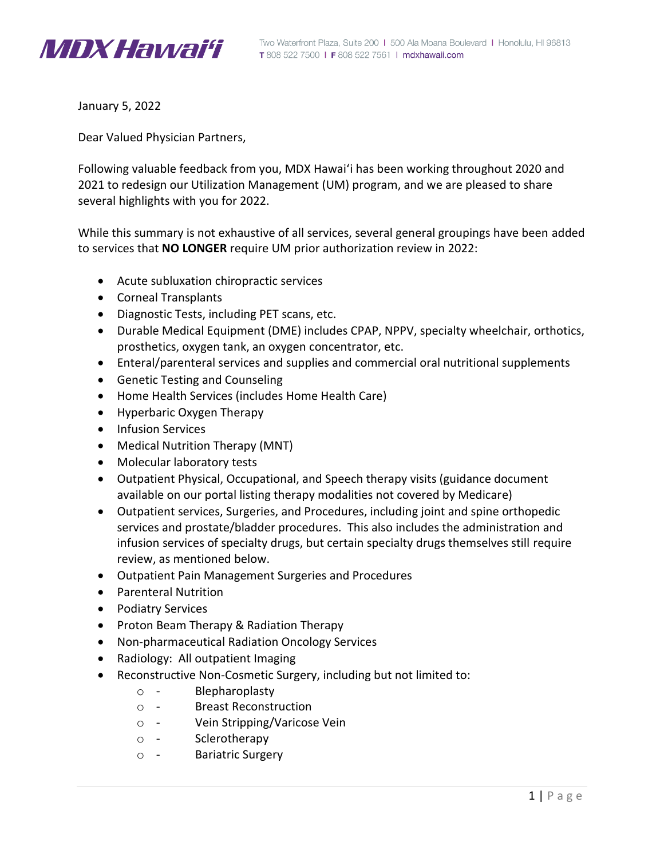

January 5, 2022

Dear Valued Physician Partners,

Following valuable feedback from you, MDX Hawai'i has been working throughout 2020 and 2021 to redesign our Utilization Management (UM) program, and we are pleased to share several highlights with you for 2022.

While this summary is not exhaustive of all services, several general groupings have been added to services that **NO LONGER** require UM prior authorization review in 2022:

- Acute subluxation chiropractic services
- Corneal Transplants
- Diagnostic Tests, including PET scans, etc.
- Durable Medical Equipment (DME) includes CPAP, NPPV, specialty wheelchair, orthotics, prosthetics, oxygen tank, an oxygen concentrator, etc.
- Enteral/parenteral services and supplies and commercial oral nutritional supplements
- Genetic Testing and Counseling
- Home Health Services (includes Home Health Care)
- Hyperbaric Oxygen Therapy
- Infusion Services
- Medical Nutrition Therapy (MNT)
- Molecular laboratory tests
- Outpatient Physical, Occupational, and Speech therapy visits (guidance document available on our portal listing therapy modalities not covered by Medicare)
- Outpatient services, Surgeries, and Procedures, including joint and spine orthopedic services and prostate/bladder procedures. This also includes the administration and infusion services of specialty drugs, but certain specialty drugs themselves still require review, as mentioned below.
- Outpatient Pain Management Surgeries and Procedures
- Parenteral Nutrition
- Podiatry Services
- Proton Beam Therapy & Radiation Therapy
- Non-pharmaceutical Radiation Oncology Services
- Radiology: All outpatient Imaging
- Reconstructive Non-Cosmetic Surgery, including but not limited to:
	- o ‐ Blepharoplasty
	- o ‐ Breast Reconstruction
	- o ‐ Vein Stripping/Varicose Vein
	- o ‐ Sclerotherapy
	- o ‐ Bariatric Surgery